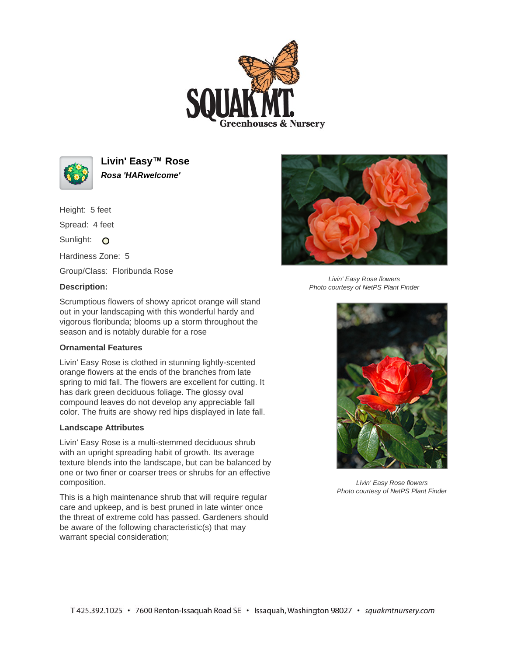



**Livin' Easy™ Rose Rosa 'HARwelcome'**

Height: 5 feet Spread: 4 feet Sunlight: O Hardiness Zone: 5

Group/Class: Floribunda Rose

## **Description:**



Livin' Easy Rose flowers Photo courtesy of NetPS Plant Finder

Scrumptious flowers of showy apricot orange will stand out in your landscaping with this wonderful hardy and vigorous floribunda; blooms up a storm throughout the season and is notably durable for a rose

## **Ornamental Features**

Livin' Easy Rose is clothed in stunning lightly-scented orange flowers at the ends of the branches from late spring to mid fall. The flowers are excellent for cutting. It has dark green deciduous foliage. The glossy oval compound leaves do not develop any appreciable fall color. The fruits are showy red hips displayed in late fall.

## **Landscape Attributes**

Livin' Easy Rose is a multi-stemmed deciduous shrub with an upright spreading habit of growth. Its average texture blends into the landscape, but can be balanced by one or two finer or coarser trees or shrubs for an effective composition.

This is a high maintenance shrub that will require regular care and upkeep, and is best pruned in late winter once the threat of extreme cold has passed. Gardeners should be aware of the following characteristic(s) that may warrant special consideration;



Livin' Easy Rose flowers Photo courtesy of NetPS Plant Finder